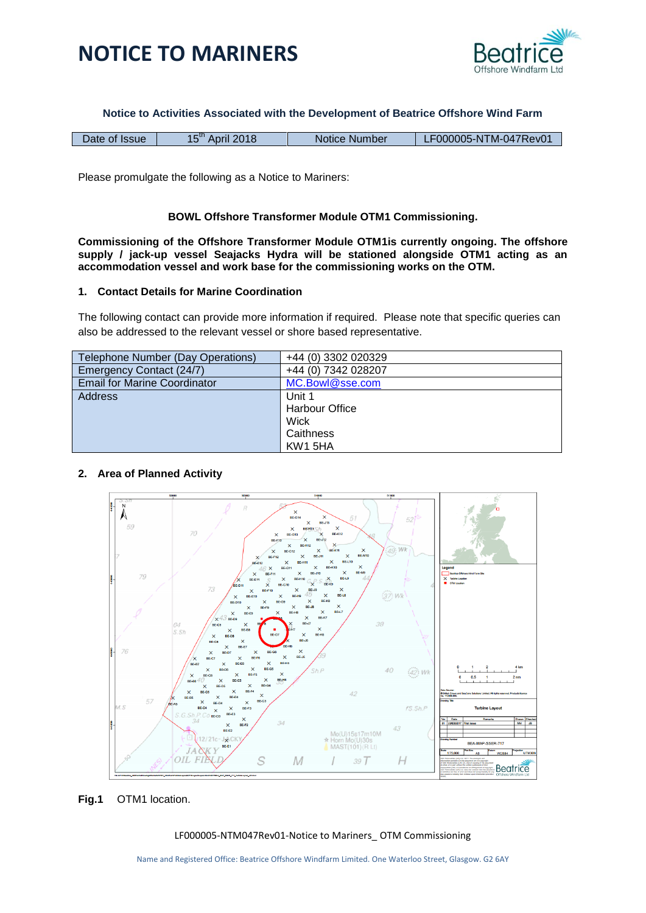



**Notice to Activities Associated with the Development of Beatrice Offshore Wind Farm**

| Date of Issue | 2018<br>April | Notice Number | LF000005-NTM-047Rev01 |
|---------------|---------------|---------------|-----------------------|
|               |               |               |                       |

Please promulgate the following as a Notice to Mariners:

## **BOWL Offshore Transformer Module OTM1 Commissioning.**

**Commissioning of the Offshore Transformer Module OTM1is currently ongoing. The offshore supply / jack-up vessel Seajacks Hydra will be stationed alongside OTM1 acting as an accommodation vessel and work base for the commissioning works on the OTM.** 

### **1. Contact Details for Marine Coordination**

The following contact can provide more information if required. Please note that specific queries can also be addressed to the relevant vessel or shore based representative.

| Telephone Number (Day Operations)   | +44 (0) 3302 020329   |
|-------------------------------------|-----------------------|
| Emergency Contact (24/7)            | +44 (0) 7342 028207   |
| <b>Email for Marine Coordinator</b> | MC.Bowl@sse.com       |
| <b>Address</b>                      | Unit 1                |
|                                     | <b>Harbour Office</b> |
|                                     | Wick                  |
|                                     | Caithness             |
|                                     | KW1 5HA               |

## **2. Area of Planned Activity**



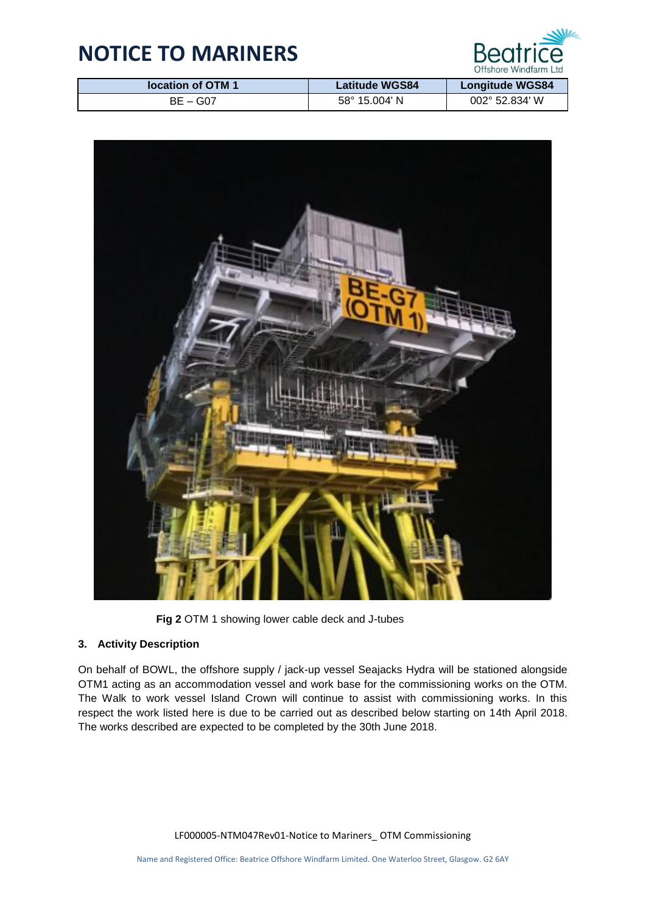

| location of OTM 1 | <b>Latitude WGS84</b>  | <b>Longitude WGS84</b>  |
|-------------------|------------------------|-------------------------|
| BE – G07          | $58^{\circ}$ 15.004' N | $002^{\circ}$ 52.834' W |



**Fig 2** OTM 1 showing lower cable deck and J-tubes

## **3. Activity Description**

On behalf of BOWL, the offshore supply / jack-up vessel Seajacks Hydra will be stationed alongside OTM1 acting as an accommodation vessel and work base for the commissioning works on the OTM. The Walk to work vessel Island Crown will continue to assist with commissioning works. In this respect the work listed here is due to be carried out as described below starting on 14th April 2018. The works described are expected to be completed by the 30th June 2018.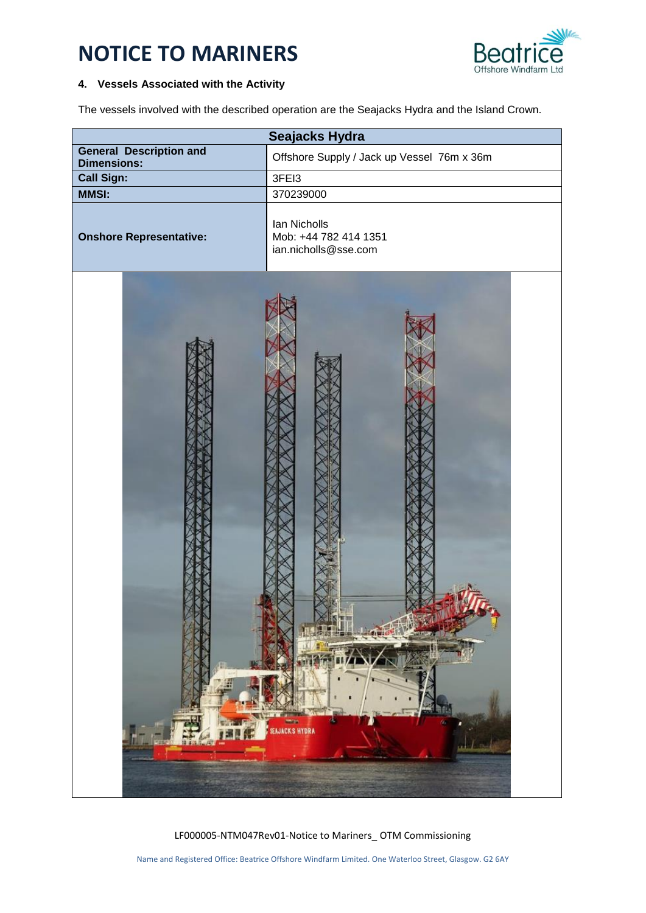

### **4. Vessels Associated with the Activity**

The vessels involved with the described operation are the Seajacks Hydra and the Island Crown.

| Seajacks Hydra                                       |                                                               |  |
|------------------------------------------------------|---------------------------------------------------------------|--|
| <b>General Description and</b><br><b>Dimensions:</b> | Offshore Supply / Jack up Vessel 76m x 36m                    |  |
| <b>Call Sign:</b>                                    | 3FEI3                                                         |  |
| <b>MMSI:</b>                                         | 370239000                                                     |  |
| <b>Onshore Representative:</b>                       | Ian Nicholls<br>Mob: +44 782 414 1351<br>ian.nicholls@sse.com |  |
|                                                      | SEAJACKS HYDRA                                                |  |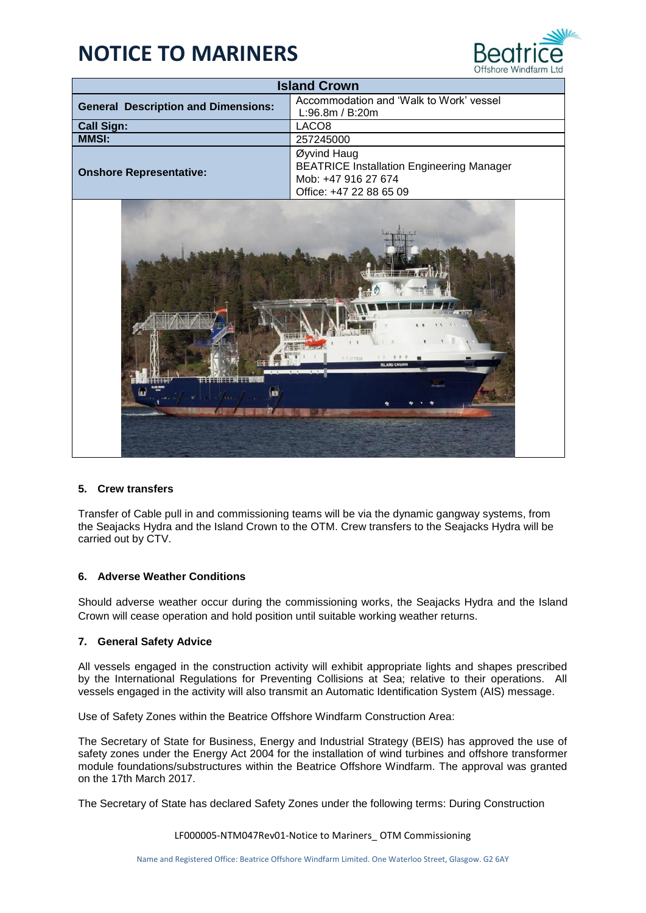

| <b>Island Crown</b>                        |                                                                                                                   |  |  |
|--------------------------------------------|-------------------------------------------------------------------------------------------------------------------|--|--|
| <b>General Description and Dimensions:</b> | Accommodation and 'Walk to Work' vessel<br>L:96.8m / B:20m                                                        |  |  |
| <b>Call Sign:</b>                          | LACO <sub>8</sub>                                                                                                 |  |  |
| <b>MMSI:</b>                               | 257245000                                                                                                         |  |  |
| <b>Onshore Representative:</b>             | Øyvind Haug<br><b>BEATRICE Installation Engineering Manager</b><br>Mob: +47 916 27 674<br>Office: +47 22 88 65 09 |  |  |
| <b>ISLAND CROWN</b><br>G                   |                                                                                                                   |  |  |

## **5. Crew transfers**

Transfer of Cable pull in and commissioning teams will be via the dynamic gangway systems, from the Seajacks Hydra and the Island Crown to the OTM. Crew transfers to the Seajacks Hydra will be carried out by CTV.

### **6. Adverse Weather Conditions**

Should adverse weather occur during the commissioning works, the Seajacks Hydra and the Island Crown will cease operation and hold position until suitable working weather returns.

#### **7. General Safety Advice**

All vessels engaged in the construction activity will exhibit appropriate lights and shapes prescribed by the International Regulations for Preventing Collisions at Sea; relative to their operations. All vessels engaged in the activity will also transmit an Automatic Identification System (AIS) message.

Use of Safety Zones within the Beatrice Offshore Windfarm Construction Area:

The Secretary of State for Business, Energy and Industrial Strategy (BEIS) has approved the use of safety zones under the Energy Act 2004 for the installation of wind turbines and offshore transformer module foundations/substructures within the Beatrice Offshore Windfarm. The approval was granted on the 17th March 2017.

The Secretary of State has declared Safety Zones under the following terms: During Construction